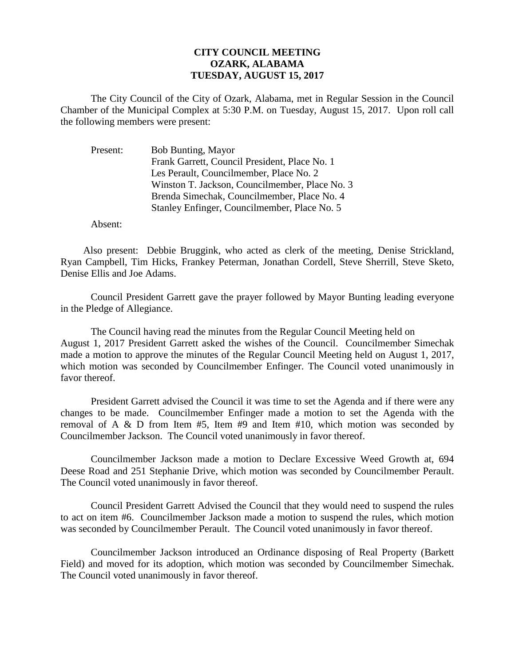## **CITY COUNCIL MEETING OZARK, ALABAMA TUESDAY, AUGUST 15, 2017**

The City Council of the City of Ozark, Alabama, met in Regular Session in the Council Chamber of the Municipal Complex at 5:30 P.M. on Tuesday, August 15, 2017. Upon roll call the following members were present:

| Bob Bunting, Mayor                             |
|------------------------------------------------|
| Frank Garrett, Council President, Place No. 1  |
| Les Perault, Councilmember, Place No. 2        |
| Winston T. Jackson, Councilmember, Place No. 3 |
| Brenda Simechak, Councilmember, Place No. 4    |
| Stanley Enfinger, Councilmember, Place No. 5   |
|                                                |

Absent:

Also present: Debbie Bruggink, who acted as clerk of the meeting, Denise Strickland, Ryan Campbell, Tim Hicks, Frankey Peterman, Jonathan Cordell, Steve Sherrill, Steve Sketo, Denise Ellis and Joe Adams.

Council President Garrett gave the prayer followed by Mayor Bunting leading everyone in the Pledge of Allegiance.

The Council having read the minutes from the Regular Council Meeting held on August 1, 2017 President Garrett asked the wishes of the Council. Councilmember Simechak made a motion to approve the minutes of the Regular Council Meeting held on August 1, 2017, which motion was seconded by Councilmember Enfinger. The Council voted unanimously in favor thereof.

President Garrett advised the Council it was time to set the Agenda and if there were any changes to be made. Councilmember Enfinger made a motion to set the Agenda with the removal of A & D from Item  $#5$ , Item  $#9$  and Item  $#10$ , which motion was seconded by Councilmember Jackson. The Council voted unanimously in favor thereof.

Councilmember Jackson made a motion to Declare Excessive Weed Growth at, 694 Deese Road and 251 Stephanie Drive, which motion was seconded by Councilmember Perault. The Council voted unanimously in favor thereof.

Council President Garrett Advised the Council that they would need to suspend the rules to act on item #6. Councilmember Jackson made a motion to suspend the rules, which motion was seconded by Councilmember Perault. The Council voted unanimously in favor thereof.

Councilmember Jackson introduced an Ordinance disposing of Real Property (Barkett Field) and moved for its adoption, which motion was seconded by Councilmember Simechak. The Council voted unanimously in favor thereof.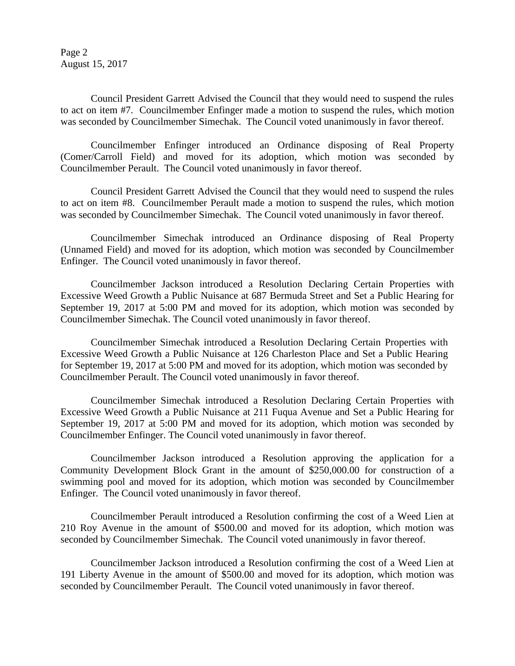Page 2 August 15, 2017

Council President Garrett Advised the Council that they would need to suspend the rules to act on item #7. Councilmember Enfinger made a motion to suspend the rules, which motion was seconded by Councilmember Simechak. The Council voted unanimously in favor thereof.

Councilmember Enfinger introduced an Ordinance disposing of Real Property (Comer/Carroll Field) and moved for its adoption, which motion was seconded by Councilmember Perault. The Council voted unanimously in favor thereof.

Council President Garrett Advised the Council that they would need to suspend the rules to act on item #8. Councilmember Perault made a motion to suspend the rules, which motion was seconded by Councilmember Simechak. The Council voted unanimously in favor thereof.

Councilmember Simechak introduced an Ordinance disposing of Real Property (Unnamed Field) and moved for its adoption, which motion was seconded by Councilmember Enfinger. The Council voted unanimously in favor thereof.

Councilmember Jackson introduced a Resolution Declaring Certain Properties with Excessive Weed Growth a Public Nuisance at 687 Bermuda Street and Set a Public Hearing for September 19, 2017 at 5:00 PM and moved for its adoption, which motion was seconded by Councilmember Simechak. The Council voted unanimously in favor thereof.

Councilmember Simechak introduced a Resolution Declaring Certain Properties with Excessive Weed Growth a Public Nuisance at 126 Charleston Place and Set a Public Hearing for September 19, 2017 at 5:00 PM and moved for its adoption, which motion was seconded by Councilmember Perault. The Council voted unanimously in favor thereof.

Councilmember Simechak introduced a Resolution Declaring Certain Properties with Excessive Weed Growth a Public Nuisance at 211 Fuqua Avenue and Set a Public Hearing for September 19, 2017 at 5:00 PM and moved for its adoption, which motion was seconded by Councilmember Enfinger. The Council voted unanimously in favor thereof.

Councilmember Jackson introduced a Resolution approving the application for a Community Development Block Grant in the amount of \$250,000.00 for construction of a swimming pool and moved for its adoption, which motion was seconded by Councilmember Enfinger. The Council voted unanimously in favor thereof.

Councilmember Perault introduced a Resolution confirming the cost of a Weed Lien at 210 Roy Avenue in the amount of \$500.00 and moved for its adoption, which motion was seconded by Councilmember Simechak. The Council voted unanimously in favor thereof.

Councilmember Jackson introduced a Resolution confirming the cost of a Weed Lien at 191 Liberty Avenue in the amount of \$500.00 and moved for its adoption, which motion was seconded by Councilmember Perault. The Council voted unanimously in favor thereof.